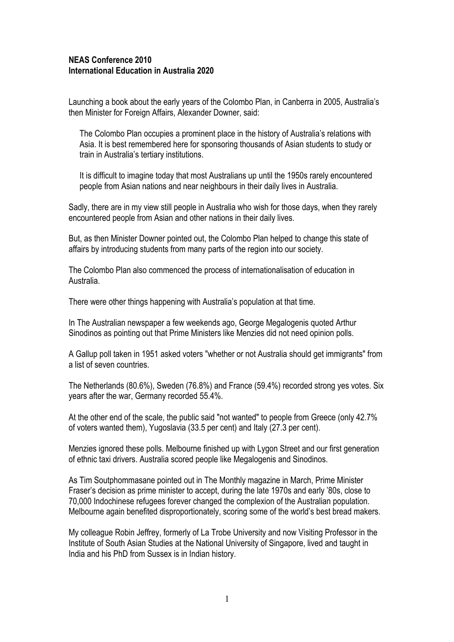#### **NEAS Conference 2010 International Education in Australia 2020**

Launching a book about the early years of the Colombo Plan, in Canberra in 2005, Australia's then Minister for Foreign Affairs, Alexander Downer, said:

The Colombo Plan occupies a prominent place in the history of Australia's relations with Asia. It is best remembered here for sponsoring thousands of Asian students to study or train in Australia's tertiary institutions.

It is difficult to imagine today that most Australians up until the 1950s rarely encountered people from Asian nations and near neighbours in their daily lives in Australia.

Sadly, there are in my view still people in Australia who wish for those days, when they rarely encountered people from Asian and other nations in their daily lives.

But, as then Minister Downer pointed out, the Colombo Plan helped to change this state of affairs by introducing students from many parts of the region into our society.

The Colombo Plan also commenced the process of internationalisation of education in Australia.

There were other things happening with Australia's population at that time.

In The Australian newspaper a few weekends ago, George Megalogenis quoted Arthur Sinodinos as pointing out that Prime Ministers like Menzies did not need opinion polls.

A Gallup poll taken in 1951 asked voters "whether or not Australia should get immigrants" from a list of seven countries.

The Netherlands (80.6%), Sweden (76.8%) and France (59.4%) recorded strong yes votes. Six years after the war, Germany recorded 55.4%.

At the other end of the scale, the public said "not wanted" to people from Greece (only 42.7% of voters wanted them), Yugoslavia (33.5 per cent) and Italy (27.3 per cent).

Menzies ignored these polls. Melbourne finished up with Lygon Street and our first generation of ethnic taxi drivers. Australia scored people like Megalogenis and Sinodinos.

As Tim Soutphommasane pointed out in The Monthly magazine in March, Prime Minister Fraser's decision as prime minister to accept, during the late 1970s and early '80s, close to 70,000 Indochinese refugees forever changed the complexion of the Australian population. Melbourne again benefited disproportionately, scoring some of the world's best bread makers.

My colleague Robin Jeffrey, formerly of La Trobe University and now Visiting Professor in the Institute of South Asian Studies at the National University of Singapore, lived and taught in India and his PhD from Sussex is in Indian history.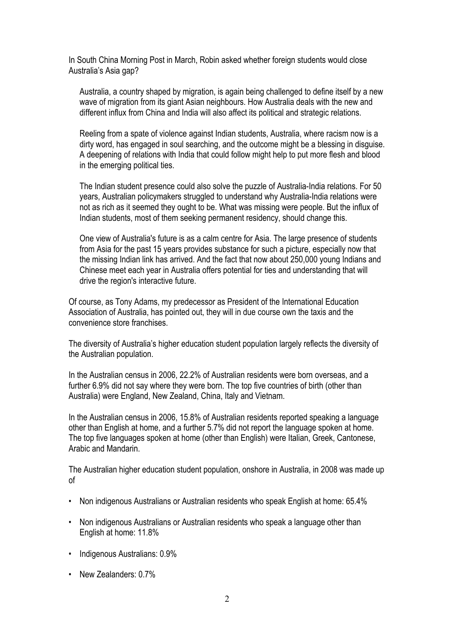In South China Morning Post in March, Robin asked whether foreign students would close Australia's Asia gap?

Australia, a country shaped by migration, is again being challenged to define itself by a new wave of migration from its giant Asian neighbours. How Australia deals with the new and different influx from China and India will also affect its political and strategic relations.

Reeling from a spate of violence against Indian students, Australia, where racism now is a dirty word, has engaged in soul searching, and the outcome might be a blessing in disguise. A deepening of relations with India that could follow might help to put more flesh and blood in the emerging political ties.

The Indian student presence could also solve the puzzle of Australia-India relations. For 50 years, Australian policymakers struggled to understand why Australia-India relations were not as rich as it seemed they ought to be. What was missing were people. But the influx of Indian students, most of them seeking permanent residency, should change this.

One view of Australia's future is as a calm centre for Asia. The large presence of students from Asia for the past 15 years provides substance for such a picture, especially now that the missing Indian link has arrived. And the fact that now about 250,000 young Indians and Chinese meet each year in Australia offers potential for ties and understanding that will drive the region's interactive future.

Of course, as Tony Adams, my predecessor as President of the International Education Association of Australia, has pointed out, they will in due course own the taxis and the convenience store franchises.

The diversity of Australia's higher education student population largely reflects the diversity of the Australian population.

In the Australian census in 2006, 22.2% of Australian residents were born overseas, and a further 6.9% did not say where they were born. The top five countries of birth (other than Australia) were England, New Zealand, China, Italy and Vietnam.

In the Australian census in 2006, 15.8% of Australian residents reported speaking a language other than English at home, and a further 5.7% did not report the language spoken at home. The top five languages spoken at home (other than English) were Italian, Greek, Cantonese, Arabic and Mandarin.

The Australian higher education student population, onshore in Australia, in 2008 was made up of

- Non indigenous Australians or Australian residents who speak English at home: 65.4%
- Non indigenous Australians or Australian residents who speak a language other than English at home: 11.8%
- Indigenous Australians: 0.9%
- New Zealanders: 0.7%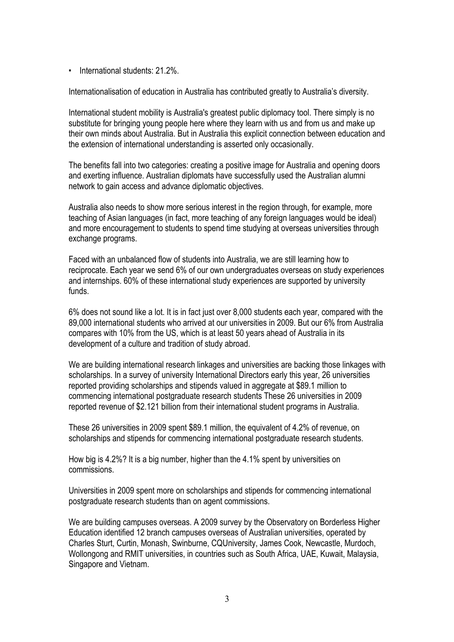• International students: 21.2%.

Internationalisation of education in Australia has contributed greatly to Australia's diversity.

International student mobility is Australia's greatest public diplomacy tool. There simply is no substitute for bringing young people here where they learn with us and from us and make up their own minds about Australia. But in Australia this explicit connection between education and the extension of international understanding is asserted only occasionally.

The benefits fall into two categories: creating a positive image for Australia and opening doors and exerting influence. Australian diplomats have successfully used the Australian alumni network to gain access and advance diplomatic objectives.

Australia also needs to show more serious interest in the region through, for example, more teaching of Asian languages (in fact, more teaching of any foreign languages would be ideal) and more encouragement to students to spend time studying at overseas universities through exchange programs.

Faced with an unbalanced flow of students into Australia, we are still learning how to reciprocate. Each year we send 6% of our own undergraduates overseas on study experiences and internships. 60% of these international study experiences are supported by university funds.

6% does not sound like a lot. It is in fact just over 8,000 students each year, compared with the 89,000 international students who arrived at our universities in 2009. But our 6% from Australia compares with 10% from the US, which is at least 50 years ahead of Australia in its development of a culture and tradition of study abroad.

We are building international research linkages and universities are backing those linkages with scholarships. In a survey of university International Directors early this year, 26 universities reported providing scholarships and stipends valued in aggregate at \$89.1 million to commencing international postgraduate research students These 26 universities in 2009 reported revenue of \$2.121 billion from their international student programs in Australia.

These 26 universities in 2009 spent \$89.1 million, the equivalent of 4.2% of revenue, on scholarships and stipends for commencing international postgraduate research students.

How big is 4.2%? It is a big number, higher than the 4.1% spent by universities on commissions.

Universities in 2009 spent more on scholarships and stipends for commencing international postgraduate research students than on agent commissions.

We are building campuses overseas. A 2009 survey by the Observatory on Borderless Higher Education identified 12 branch campuses overseas of Australian universities, operated by Charles Sturt, Curtin, Monash, Swinburne, CQUniversity, James Cook, Newcastle, Murdoch, Wollongong and RMIT universities, in countries such as South Africa, UAE, Kuwait, Malaysia, Singapore and Vietnam.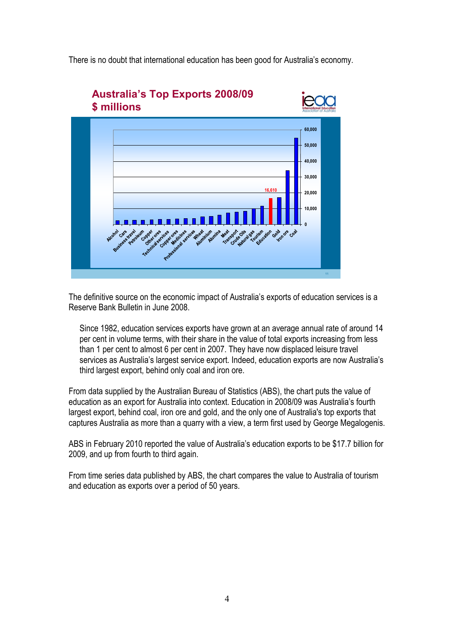There is no doubt that international education has been good for Australia's economy.



The definitive source on the economic impact of Australia's exports of education services is a Reserve Bank Bulletin in June 2008.

Since 1982, education services exports have grown at an average annual rate of around 14 per cent in volume terms, with their share in the value of total exports increasing from less than 1 per cent to almost 6 per cent in 2007. They have now displaced leisure travel services as Australia's largest service export. Indeed, education exports are now Australia's third largest export, behind only coal and iron ore.

From data supplied by the Australian Bureau of Statistics (ABS), the chart puts the value of education as an export for Australia into context. Education in 2008/09 was Australia's fourth largest export, behind coal, iron ore and gold, and the only one of Australia's top exports that captures Australia as more than a quarry with a view, a term first used by George Megalogenis.

ABS in February 2010 reported the value of Australia's education exports to be \$17.7 billion for 2009, and up from fourth to third again.

From time series data published by ABS, the chart compares the value to Australia of tourism and education as exports over a period of 50 years.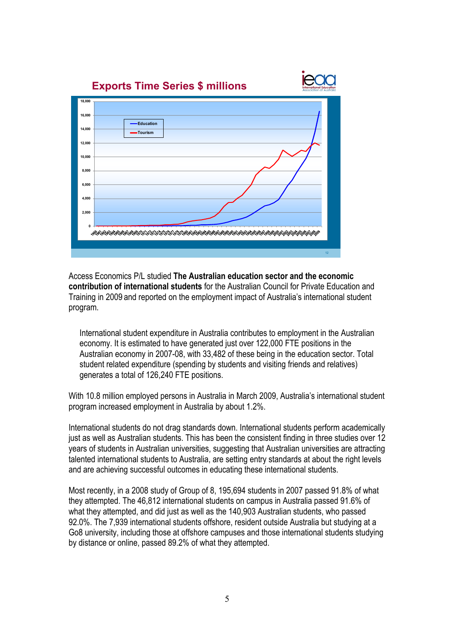

Access Economics P/L studied **The Australian education sector and the economic contribution of international students** for the Australian Council for Private Education and Training in 2009 and reported on the employment impact of Australia's international student program.

International student expenditure in Australia contributes to employment in the Australian economy. It is estimated to have generated just over 122,000 FTE positions in the Australian economy in 2007-08, with 33,482 of these being in the education sector. Total student related expenditure (spending by students and visiting friends and relatives) generates a total of 126,240 FTE positions.

With 10.8 million employed persons in Australia in March 2009, Australia's international student program increased employment in Australia by about 1.2%.

International students do not drag standards down. International students perform academically just as well as Australian students. This has been the consistent finding in three studies over 12 years of students in Australian universities, suggesting that Australian universities are attracting talented international students to Australia, are setting entry standards at about the right levels and are achieving successful outcomes in educating these international students.

Most recently, in a 2008 study of Group of 8, 195,694 students in 2007 passed 91.8% of what they attempted. The 46,812 international students on campus in Australia passed 91.6% of what they attempted, and did just as well as the 140,903 Australian students, who passed 92.0%. The 7,939 international students offshore, resident outside Australia but studying at a Go8 university, including those at offshore campuses and those international students studying by distance or online, passed 89.2% of what they attempted.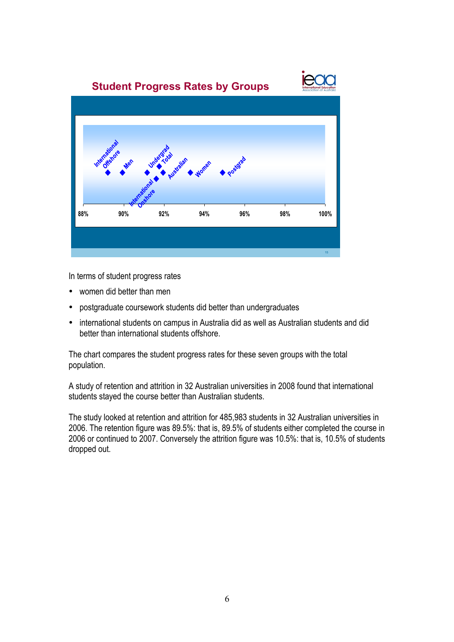

In terms of student progress rates

- women did better than men
- postgraduate coursework students did better than undergraduates
- international students on campus in Australia did as well as Australian students and did better than international students offshore.

The chart compares the student progress rates for these seven groups with the total population.

A study of retention and attrition in 32 Australian universities in 2008 found that international students stayed the course better than Australian students.

The study looked at retention and attrition for 485,983 students in 32 Australian universities in 2006. The retention figure was 89.5%: that is, 89.5% of students either completed the course in 2006 or continued to 2007. Conversely the attrition figure was 10.5%: that is, 10.5% of students dropped out.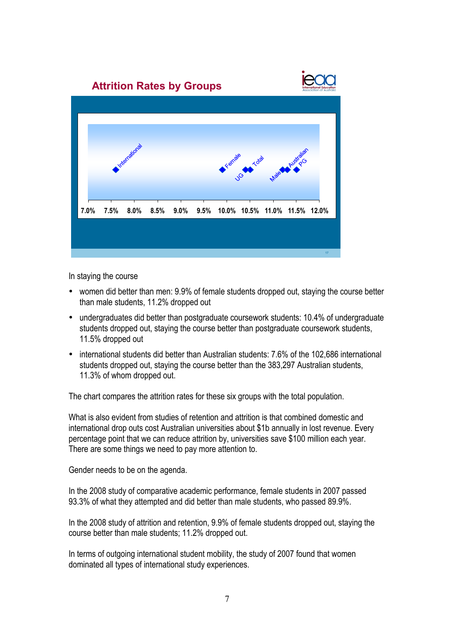

In staying the course

- women did better than men: 9.9% of female students dropped out, staying the course better than male students, 11.2% dropped out
- undergraduates did better than postgraduate coursework students: 10.4% of undergraduate students dropped out, staying the course better than postgraduate coursework students, 11.5% dropped out
- international students did better than Australian students: 7.6% of the 102,686 international students dropped out, staying the course better than the 383,297 Australian students, 11.3% of whom dropped out.

The chart compares the attrition rates for these six groups with the total population.

What is also evident from studies of retention and attrition is that combined domestic and international drop outs cost Australian universities about \$1b annually in lost revenue. Every percentage point that we can reduce attrition by, universities save \$100 million each year. There are some things we need to pay more attention to.

Gender needs to be on the agenda.

In the 2008 study of comparative academic performance, female students in 2007 passed 93.3% of what they attempted and did better than male students, who passed 89.9%.

In the 2008 study of attrition and retention, 9.9% of female students dropped out, staying the course better than male students; 11.2% dropped out.

In terms of outgoing international student mobility, the study of 2007 found that women dominated all types of international study experiences.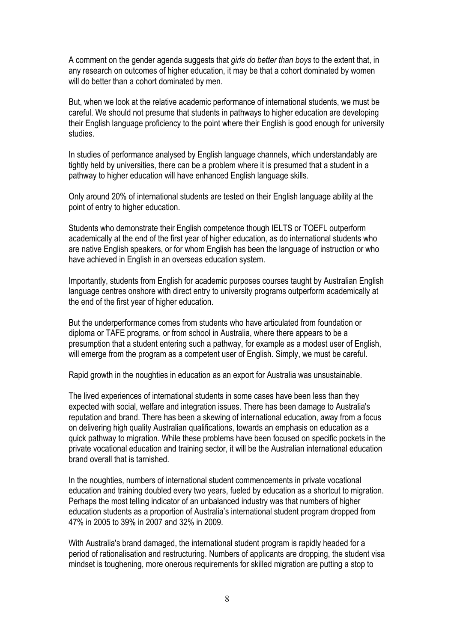A comment on the gender agenda suggests that *girls do better than boys* to the extent that, in any research on outcomes of higher education, it may be that a cohort dominated by women will do better than a cohort dominated by men.

But, when we look at the relative academic performance of international students, we must be careful. We should not presume that students in pathways to higher education are developing their English language proficiency to the point where their English is good enough for university studies.

In studies of performance analysed by English language channels, which understandably are tightly held by universities, there can be a problem where it is presumed that a student in a pathway to higher education will have enhanced English language skills.

Only around 20% of international students are tested on their English language ability at the point of entry to higher education.

Students who demonstrate their English competence though IELTS or TOEFL outperform academically at the end of the first year of higher education, as do international students who are native English speakers, or for whom English has been the language of instruction or who have achieved in English in an overseas education system.

Importantly, students from English for academic purposes courses taught by Australian English language centres onshore with direct entry to university programs outperform academically at the end of the first year of higher education.

But the underperformance comes from students who have articulated from foundation or diploma or TAFE programs, or from school in Australia, where there appears to be a presumption that a student entering such a pathway, for example as a modest user of English, will emerge from the program as a competent user of English. Simply, we must be careful.

Rapid growth in the noughties in education as an export for Australia was unsustainable.

The lived experiences of international students in some cases have been less than they expected with social, welfare and integration issues. There has been damage to Australia's reputation and brand. There has been a skewing of international education, away from a focus on delivering high quality Australian qualifications, towards an emphasis on education as a quick pathway to migration. While these problems have been focused on specific pockets in the private vocational education and training sector, it will be the Australian international education brand overall that is tarnished.

In the noughties, numbers of international student commencements in private vocational education and training doubled every two years, fueled by education as a shortcut to migration. Perhaps the most telling indicator of an unbalanced industry was that numbers of higher education students as a proportion of Australia's international student program dropped from 47% in 2005 to 39% in 2007 and 32% in 2009.

With Australia's brand damaged, the international student program is rapidly headed for a period of rationalisation and restructuring. Numbers of applicants are dropping, the student visa mindset is toughening, more onerous requirements for skilled migration are putting a stop to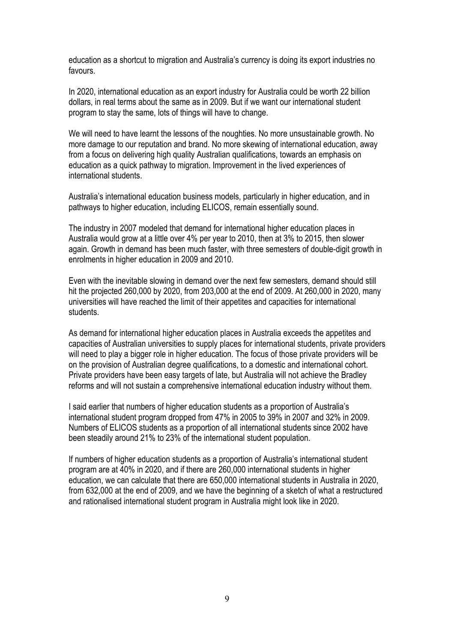education as a shortcut to migration and Australia's currency is doing its export industries no favours.

In 2020, international education as an export industry for Australia could be worth 22 billion dollars, in real terms about the same as in 2009. But if we want our international student program to stay the same, lots of things will have to change.

We will need to have learnt the lessons of the noughties. No more unsustainable growth. No more damage to our reputation and brand. No more skewing of international education, away from a focus on delivering high quality Australian qualifications, towards an emphasis on education as a quick pathway to migration. Improvement in the lived experiences of international students.

Australia's international education business models, particularly in higher education, and in pathways to higher education, including ELICOS, remain essentially sound.

The industry in 2007 modeled that demand for international higher education places in Australia would grow at a little over 4% per year to 2010, then at 3% to 2015, then slower again. Growth in demand has been much faster, with three semesters of double-digit growth in enrolments in higher education in 2009 and 2010.

Even with the inevitable slowing in demand over the next few semesters, demand should still hit the projected 260,000 by 2020, from 203,000 at the end of 2009. At 260,000 in 2020, many universities will have reached the limit of their appetites and capacities for international students.

As demand for international higher education places in Australia exceeds the appetites and capacities of Australian universities to supply places for international students, private providers will need to play a bigger role in higher education. The focus of those private providers will be on the provision of Australian degree qualifications, to a domestic and international cohort. Private providers have been easy targets of late, but Australia will not achieve the Bradley reforms and will not sustain a comprehensive international education industry without them.

I said earlier that numbers of higher education students as a proportion of Australia's international student program dropped from 47% in 2005 to 39% in 2007 and 32% in 2009. Numbers of ELICOS students as a proportion of all international students since 2002 have been steadily around 21% to 23% of the international student population.

If numbers of higher education students as a proportion of Australia's international student program are at 40% in 2020, and if there are 260,000 international students in higher education, we can calculate that there are 650,000 international students in Australia in 2020, from 632,000 at the end of 2009, and we have the beginning of a sketch of what a restructured and rationalised international student program in Australia might look like in 2020.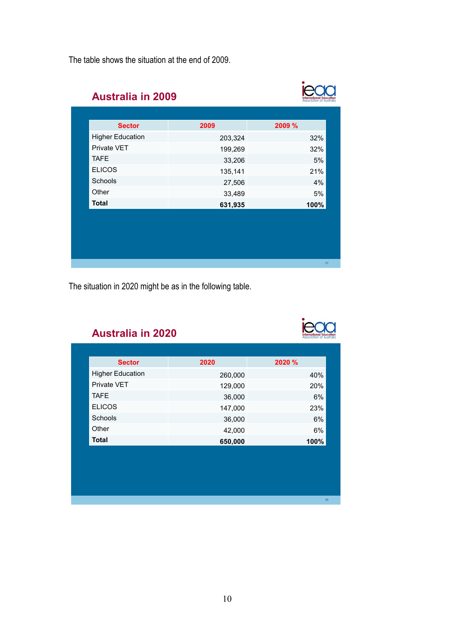The table shows the situation at the end of 2009.

| <b>Sector</b>           | 2009    | 2009 % |
|-------------------------|---------|--------|
| <b>Higher Education</b> | 203,324 | 32%    |
| Private VET             | 199,269 | 32%    |
| <b>TAFE</b>             | 33,206  | 5%     |
| <b>ELICOS</b>           | 135,141 | 21%    |
| Schools                 | 27,506  | 4%     |
| Other                   | 33,489  | 5%     |
| <b>Total</b>            | 631,935 | 100%   |
|                         |         |        |

The situation in 2020 might be as in the following table.

# ieaa

 $\bullet$ 

#### **Australia in 2020**

| <b>Sector</b>           | 2020    | 2020 % |
|-------------------------|---------|--------|
| <b>Higher Education</b> | 260,000 | 40%    |
| Private VET             | 129,000 | 20%    |
| <b>TAFE</b>             | 36,000  | 6%     |
| <b>ELICOS</b>           | 147,000 | 23%    |
| Schools                 | 36,000  | 6%     |
| Other                   | 42,000  | 6%     |
| <b>Total</b>            | 650,000 | 100%   |
|                         |         |        |
|                         |         |        |
|                         |         |        |
|                         |         |        |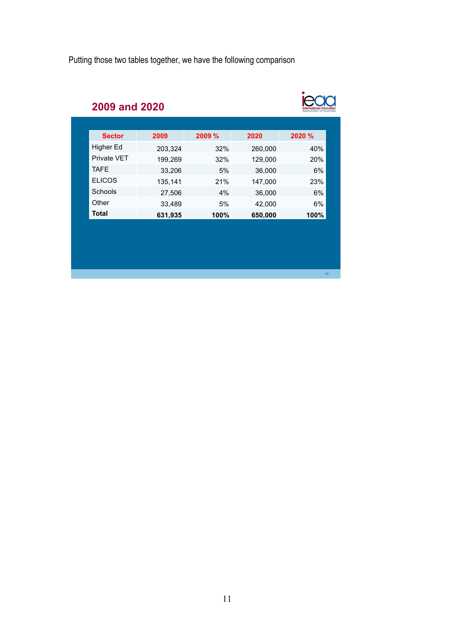Putting those two tables together, we have the following comparison

# ieaa

29

## **2009 and 2020**

| <b>Sector</b> | 2009    | 2009 % | 2020    | 2020 % |
|---------------|---------|--------|---------|--------|
| Higher Ed     | 203,324 | 32%    | 260,000 | 40%    |
| Private VET   | 199,269 | 32%    | 129,000 | 20%    |
| <b>TAFE</b>   | 33,206  | 5%     | 36,000  | 6%     |
| <b>ELICOS</b> | 135,141 | 21%    | 147,000 | 23%    |
| Schools       | 27,506  | 4%     | 36,000  | 6%     |
| Other         | 33,489  | 5%     | 42,000  | 6%     |
| <b>Total</b>  | 631,935 | 100%   | 650,000 | 100%   |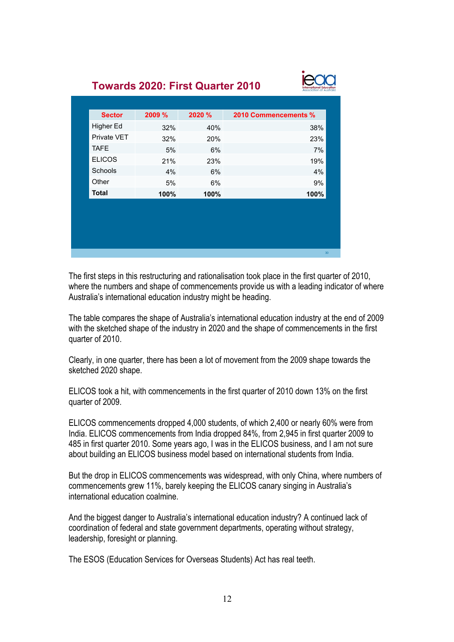### **Towards 2020: First Quarter 2010**



| <b>Sector</b> | 2009 % | 2020 % | 2010 Commencements % |
|---------------|--------|--------|----------------------|
| Higher Ed     | 32%    | 40%    | 38%                  |
| Private VET   | 32%    | 20%    | 23%                  |
| <b>TAFE</b>   | 5%     | 6%     | 7%                   |
| <b>ELICOS</b> | 21%    | 23%    | 19%                  |
| Schools       | 4%     | 6%     | 4%                   |
| Other         | 5%     | 6%     | 9%                   |
| <b>Total</b>  | 100%   | 100%   | 100%                 |
|               |        |        |                      |
|               |        |        |                      |
|               |        |        |                      |
|               |        |        |                      |

The first steps in this restructuring and rationalisation took place in the first quarter of 2010, where the numbers and shape of commencements provide us with a leading indicator of where Australia's international education industry might be heading.

The table compares the shape of Australia's international education industry at the end of 2009 with the sketched shape of the industry in 2020 and the shape of commencements in the first quarter of 2010.

Clearly, in one quarter, there has been a lot of movement from the 2009 shape towards the sketched 2020 shape.

ELICOS took a hit, with commencements in the first quarter of 2010 down 13% on the first quarter of 2009.

ELICOS commencements dropped 4,000 students, of which 2,400 or nearly 60% were from India. ELICOS commencements from India dropped 84%, from 2,945 in first quarter 2009 to 485 in first quarter 2010. Some years ago, I was in the ELICOS business, and I am not sure about building an ELICOS business model based on international students from India.

But the drop in ELICOS commencements was widespread, with only China, where numbers of commencements grew 11%, barely keeping the ELICOS canary singing in Australia's international education coalmine.

And the biggest danger to Australia's international education industry? A continued lack of coordination of federal and state government departments, operating without strategy, leadership, foresight or planning.

The ESOS (Education Services for Overseas Students) Act has real teeth.